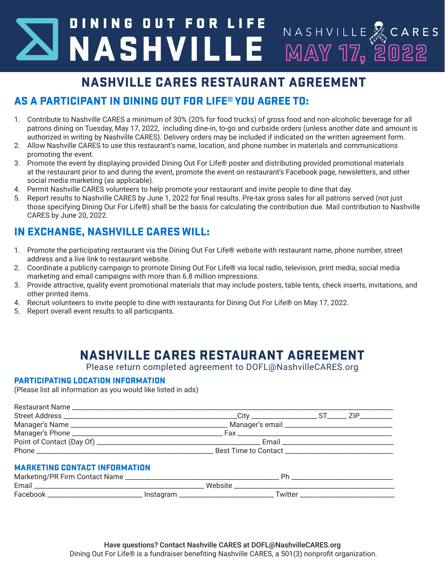# **INING OUT FOR LIFE** NASHVILLE MAY 17, 2022

# NASHVILLE CARES RESTAURANT AGREEMENT

## AS A PARTICIPANT IN DINING OUT FOR LIFE® YOU AGREE TO:

- 1. Contribute to Nashville CARES a minimum of 30% (20% for food trucks) of gross food and non-alcoholic beverage for all patrons dining on Tuesday, May 17, 2022, including dine-in, to-go and curbside orders (unless another date and amount is authorized in writing by Nashville CARES). Delivery orders may be included if indicated on the written agreement form.
- 2. Allow Nashville CARES to use this restaurant's name, location, and phone number in materials and communications promoting the event.
- 3. Promote the event by displaying provided Dining Out For Life® poster and distributing provided promotional materials at the restaurant prior to and during the event, promote the event on restaurant's Facebook page, newsletters, and other social media marketing (as applicable).
- 4. Permit Nashville CARES volunteers to help promote your restaurant and invite people to dine that day.
- 5. Report results to Nashville CARES by June 1, 2022 for final results. Pre-tax gross sales for all patrons served (not just those specifying Dining Our For Life®) shall be the basis for calculating the contribution due. Mail contribution to Nashville CARES by June 20, 2022.

## IN EXCHANGE, NASHVILLE CARES WILL:

- 1. Promote the participating restaurant via the Dining Out For Life® website with restaurant name, phone number, street address and a live link to restaurant website.
- 2. Coordinate a publicity campaign to promote Dining Out For Life® via local radio, television, print media, social media marketing and email campaigns with more than 6.8 million impressions.
- 3. Provide attractive, quality event promotional materials that may include posters, table tents, check inserts, invitations, and other printed items.
- 4. Recruit volunteers to invite people to dine with restaurants for Dining Out For Life® on May 17, 2022.
- 5. Report overall event results to all participants.

# NASHVILLE CARES RESTAURANT AGREEMENT

Please return completed agreement to DOFL@NashvilleCARES.org

#### PARTICIPATING LOCATION INFORMATION

(Please list all information as you would like listed in ads)

| <b>MARKETING CONTACT INFORMATION</b> |  |  |  |  |
|--------------------------------------|--|--|--|--|
|                                      |  |  |  |  |
|                                      |  |  |  |  |
|                                      |  |  |  |  |